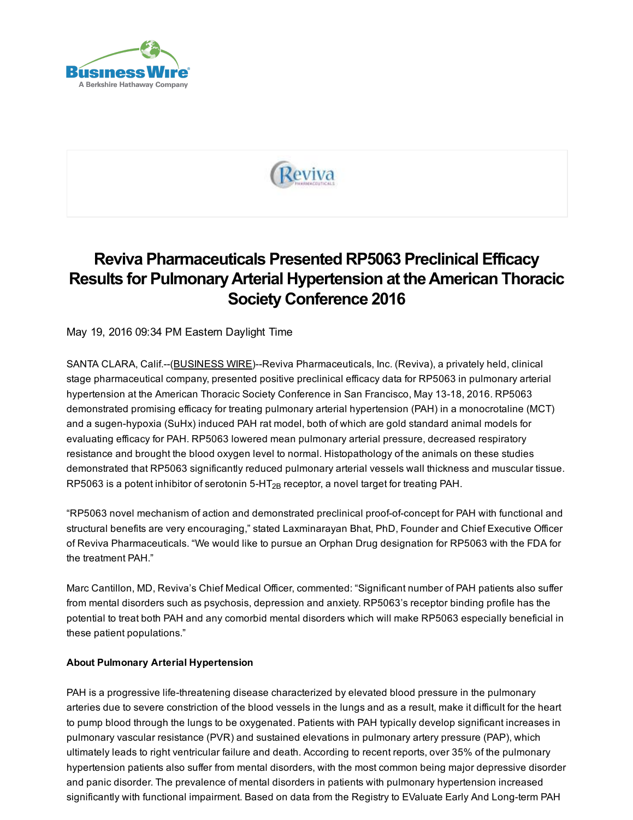



# Reviva Pharmaceuticals Presented RP5063 Preclinical Efficacy Results for PulmonaryArterial Hypertension at theAmerican Thoracic Society Conference 2016

May 19, 2016 09:34 PM Eastern Daylight Time

SANTA CLARA, Calif.--[\(BUSINESS](http://www.businesswire.com/) WIRE)--Reviva Pharmaceuticals, Inc. (Reviva), a privately held, clinical stage pharmaceutical company, presented positive preclinical efficacy data for RP5063 in pulmonary arterial hypertension at the American Thoracic Society Conference in San Francisco, May 13-18, 2016. RP5063 demonstrated promising efficacy for treating pulmonary arterial hypertension (PAH) in a monocrotaline (MCT) and a sugen-hypoxia (SuHx) induced PAH rat model, both of which are gold standard animal models for evaluating efficacy for PAH. RP5063 lowered mean pulmonary arterial pressure, decreased respiratory resistance and brought the blood oxygen level to normal. Histopathology of the animals on these studies demonstrated that RP5063 significantly reduced pulmonary arterial vessels wall thickness and muscular tissue. RP5063 is a potent inhibitor of serotonin 5-HT $_{2B}$  receptor, a novel target for treating PAH.

"RP5063 novel mechanism of action and demonstrated preclinical proof-of-concept for PAH with functional and structural benefits are very encouraging," stated Laxminarayan Bhat, PhD, Founder and Chief Executive Officer of Reviva Pharmaceuticals. "We would like to pursue an Orphan Drug designation for RP5063 with the FDA for the treatment PAH."

Marc Cantillon, MD, Reviva's Chief Medical Officer, commented: "Significant number of PAH patients also suffer from mental disorders such as psychosis, depression and anxiety. RP5063's receptor binding profile has the potential to treat both PAH and any comorbid mental disorders which will make RP5063 especially beneficial in these patient populations."

#### About Pulmonary Arterial Hypertension

PAH is a progressive life-threatening disease characterized by elevated blood pressure in the pulmonary arteries due to severe constriction of the blood vessels in the lungs and as a result, make it difficult for the heart to pump blood through the lungs to be oxygenated. Patients with PAH typically develop significant increases in pulmonary vascular resistance (PVR) and sustained elevations in pulmonary artery pressure (PAP), which ultimately leads to right ventricular failure and death. According to recent reports, over 35% of the pulmonary hypertension patients also suffer from mental disorders, with the most common being major depressive disorder and panic disorder. The prevalence of mental disorders in patients with pulmonary hypertension increased significantly with functional impairment. Based on data from the Registry to EValuate Early And Long-term PAH